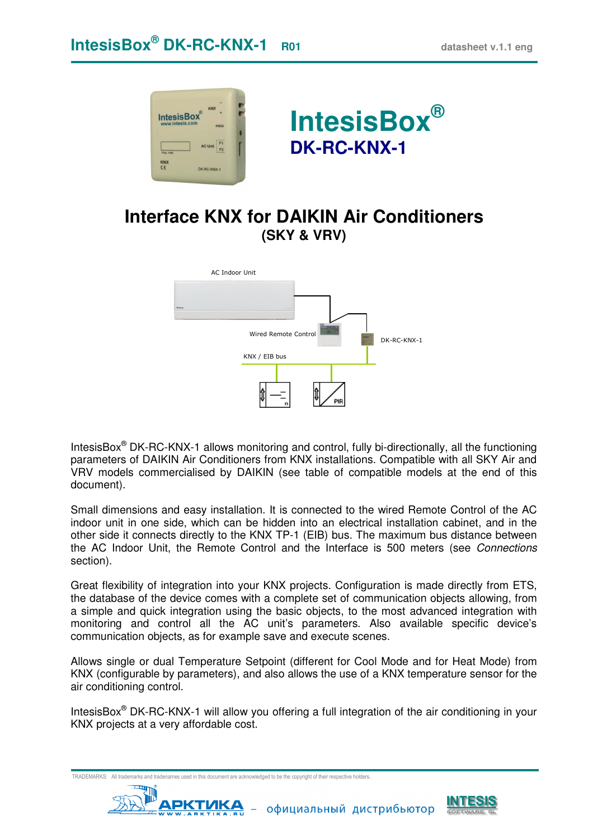



## **Interface KNX for DAIKIN Air Conditioners (SKY & VRV)**



IntesisBox<sup>®</sup> DK-RC-KNX-1 allows monitoring and control, fully bi-directionally, all the functioning parameters of DAIKIN Air Conditioners from KNX installations. Compatible with all SKY Air and VRV models commercialised by DAIKIN (see table of compatible models at the end of this document).

Small dimensions and easy installation. It is connected to the wired Remote Control of the AC indoor unit in one side, which can be hidden into an electrical installation cabinet, and in the other side it connects directly to the KNX TP-1 (EIB) bus. The maximum bus distance between the AC Indoor Unit, the Remote Control and the Interface is 500 meters (see Connections section).

Great flexibility of integration into your KNX projects. Configuration is made directly from ETS, the database of the device comes with a complete set of communication objects allowing, from a simple and quick integration using the basic objects, to the most advanced integration with monitoring and control all the AC unit's parameters. Also available specific device's communication objects, as for example save and execute scenes.

Allows single or dual Temperature Setpoint (different for Cool Mode and for Heat Mode) from KNX (configurable by parameters), and also allows the use of a KNX temperature sensor for the air conditioning control.

IntesisBox<sup>®</sup> DK-RC-KNX-1 will allow you offering a full integration of the air conditioning in your KNX projects at a very affordable cost.

TRADEMARKS: All trademarks and tradenames used in this document are acknowledged to be the copyright of their respective holders.<br>
THETTING



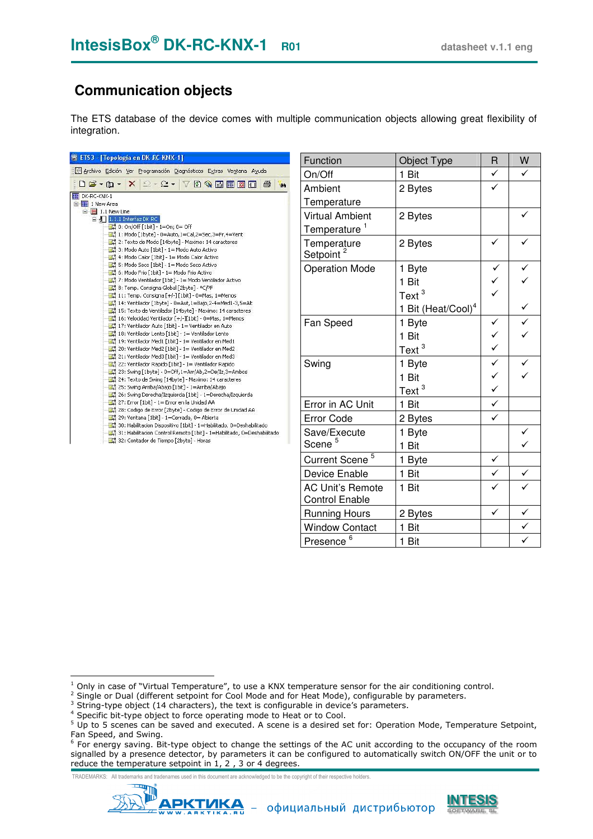## **Communication objects**

The ETS database of the device comes with multiple communication objects allowing great flexibility of integration.

| 器 ETS3 - [Topología en DK-RC-KNX-1]                                                                                                                                                                                                                                                                                                                                                                                                                                                                                                                                                                                                                                                                                                                                                                                                                                                                                                                                                                                                                                                                                                                                                                                                                                                                                                                                                                                                                                                                                                                                                                                                                                                 |
|-------------------------------------------------------------------------------------------------------------------------------------------------------------------------------------------------------------------------------------------------------------------------------------------------------------------------------------------------------------------------------------------------------------------------------------------------------------------------------------------------------------------------------------------------------------------------------------------------------------------------------------------------------------------------------------------------------------------------------------------------------------------------------------------------------------------------------------------------------------------------------------------------------------------------------------------------------------------------------------------------------------------------------------------------------------------------------------------------------------------------------------------------------------------------------------------------------------------------------------------------------------------------------------------------------------------------------------------------------------------------------------------------------------------------------------------------------------------------------------------------------------------------------------------------------------------------------------------------------------------------------------------------------------------------------------|
| Archivo Edición Ver Programación Diagnósticos Extras Ventana Ayuda                                                                                                                                                                                                                                                                                                                                                                                                                                                                                                                                                                                                                                                                                                                                                                                                                                                                                                                                                                                                                                                                                                                                                                                                                                                                                                                                                                                                                                                                                                                                                                                                                  |
| <b>D 2 - Q - X 2 - 2 - 7 0 % d 图 图 D</b><br>a<br>44                                                                                                                                                                                                                                                                                                                                                                                                                                                                                                                                                                                                                                                                                                                                                                                                                                                                                                                                                                                                                                                                                                                                                                                                                                                                                                                                                                                                                                                                                                                                                                                                                                 |
| DK-RC-KNX-1<br>E <b>I</b> New Area<br>$\Box$ $\Box$ 1.1 New Line<br>$\Box$ 1.1.1 Interfaz DK RC<br>$ \Box$ 0: On/Off [1bit] - 1=On; 0= Off<br>- 國 1: Modo [1byte] - 0=Auto, 1=Cal, 2=5ec, 3=Fr, 4=Vent<br>그 2: Texto de Modo [14byte] - Maximo: 14 caracteres<br>3: Modo Auto [1bit] - 1= Modo Auto Activo<br>4: Modo Calor [1bit] - 1= Modo Calor Activo<br>5: Modo Seco [1bit] - 1= Modo Seco Activo<br>6: Modo Frio [1bit] - 1 = Modo Frio Activo<br>그리 7: Modo Ventilador [1bit] - 1= Modo Ventilador Activo<br>11: Temp, Consigna [+/-] [1bit] - 0=Mas, 1=Menos<br>14: Ventilador [1byte] - 0=Aut, 1=Bajo, 2-4=Med1-3, 5=Alt<br>15: Texto de Ventilador [14byte] - Maximo: 14 caracteres<br>16: Velocidad Ventilador [+/-][1bit] - 0=Mas, 1=Menos<br>17: Ventilador Auto [1bit] - 1= Ventilador en Auto<br>18: Ventilador Lento [1bit] - 1= Ventilador Lento<br>19: Ventilador Med1 [1bit] - 1= Ventilador en Med1<br>그리 20: Ventilador Med2 [1bit] - 1= Ventilador en Med2<br>21: Ventilador Med3 [1bit] - 1= Ventilador en Med3<br>22: Ventilador Rapido [1bit] - 1= Ventilador Rapido<br>23: Swing [1byte] - 0=Off, 1=Arr/Ab, 2=De/Iz, 3=Ambos<br>24: Texto de Swing [14byte] - Maximo: 14 caracteres<br>그 25: Swing Arriba/Abajo [1bit] - 1=Arriba/Abajo<br>26: Swing Derecha/Izquierda [1bit] - 1=Derecha/Izquierda<br>27: Error [1bit] - 1= Error en la Unidad AA<br>28: Codigo de Error [2byte] - Codigo de Error de Unidad AA<br>29: Ventana [1bit] - 1=Cerrada, 0= Abierta<br>30: Habilitacion Dispositivo [1bit] - 1=Habilitado, 0=Deshabilitado<br>31: Habilitacion Control Remoto [1bit] - 1=Habilitado, 0=Deshabilitado<br>32: Contador de Tiempo [2byte] - Horas |

| Function                                         | Object Type                    | R            | W             |
|--------------------------------------------------|--------------------------------|--------------|---------------|
| On/Off                                           | 1 Bit                          | $\checkmark$ | ✓             |
| Ambient                                          | 2 Bytes                        |              |               |
| Temperature                                      |                                |              |               |
| <b>Virtual Ambient</b>                           | 2 Bytes                        |              |               |
| Temperature                                      |                                |              |               |
| Temperature<br>Setpoint <sup>2</sup>             | 2 Bytes                        |              |               |
| <b>Operation Mode</b>                            | 1 Byte                         |              |               |
|                                                  | 1 Bit                          | くく           |               |
|                                                  | Text <sup>3</sup>              |              |               |
|                                                  | 1 Bit (Heat/Cool) <sup>4</sup> |              |               |
| Fan Speed                                        | 1 Byte                         |              | $\frac{1}{2}$ |
|                                                  | 1 Bit                          |              |               |
|                                                  | Text <sup>3</sup>              | くく           |               |
| Swing                                            | 1 Byte                         |              |               |
|                                                  | 1 Bit                          | フィイ          |               |
|                                                  | Text $^3$                      |              |               |
| Error in AC Unit                                 | 1 Bit                          | ✓            |               |
| <b>Error Code</b>                                | 2 Bytes                        | ✓            |               |
| Save/Execute                                     | 1 Byte                         |              |               |
| Scene <sup>5</sup>                               | 1 Bit                          |              |               |
| 5<br><b>Current Scene</b>                        | 1 Byte                         |              |               |
| <b>Device Enable</b>                             | 1 Bit                          |              | ✓             |
| <b>AC Unit's Remote</b><br><b>Control Enable</b> | 1 Bit                          |              |               |
| <b>Running Hours</b>                             | 2 Bytes                        | ✓            | $\checkmark$  |
| <b>Window Contact</b>                            | 1 Bit                          |              |               |
| Presence <sup>6</sup>                            | 1 Bit                          |              |               |

TRADEMARKS: All trademarks and tradenames used in this document are acknowledged to be the copyright of their respective holders.





 1 Only in case of "Virtual Temperature", to use a KNX temperature sensor for the air conditioning control.

<sup>&</sup>lt;sup>2</sup> Single or Dual (different setpoint for Cool Mode and for Heat Mode), configurable by parameters.

 $3$  String-type object (14 characters), the text is configurable in device's parameters.

<sup>&</sup>lt;sup>4</sup> Specific bit-type object to force operating mode to Heat or to Cool.

 $^5$  Up to 5 scenes can be saved and executed. A scene is a desired set for: Operation Mode, Temperature Setpoint, Fan Speed, and Swing.

<sup>&</sup>lt;sup>6</sup> For energy saving. Bit-type object to change the settings of the AC unit according to the occupancy of the room signalled by a presence detector, by parameters it can be configured to automatically switch ON/OFF the unit or to reduce the temperature setpoint in 1, 2 , 3 or 4 degrees.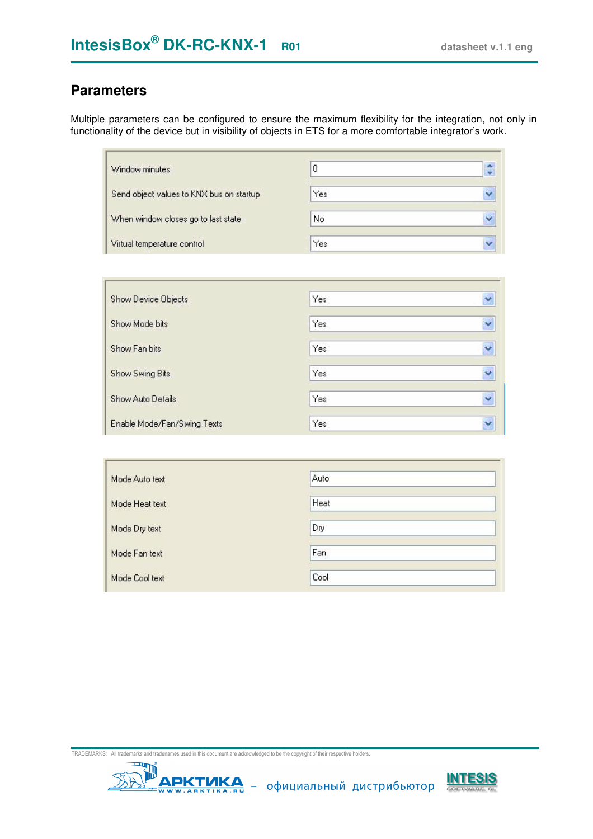### **Parameters**

Multiple parameters can be configured to ensure the maximum flexibility for the integration, not only in functionality of the device but in visibility of objects in ETS for a more comfortable integrator's work.

| Window minutes                           | 0    | $\ddot{\ddot{\ }}$ |
|------------------------------------------|------|--------------------|
| Send object values to KNX bus on startup | Yes  | v                  |
| When window closes go to last state      | No   | ×                  |
| Virtual temperature control              | Yes. | v                  |

| <b>Show Device Objects</b>  | Yes | Y                    |
|-----------------------------|-----|----------------------|
| Show Mode bits              | Yes | Y                    |
| Show Fan bits               | Yes | $\ddot{\phantom{0}}$ |
| Show Swing Bits             | Yes | Y                    |
| Show Auto Details           | Yes | ×                    |
| Enable Mode/Fan/Swing Texts | Yes | Ÿ                    |

| Mode Auto text | Auto |  |
|----------------|------|--|
| Mode Heat text | Heat |  |
| Mode Dry text  | Dry  |  |
| Mode Fan text  | Fan  |  |
| Mode Cool text | Cool |  |



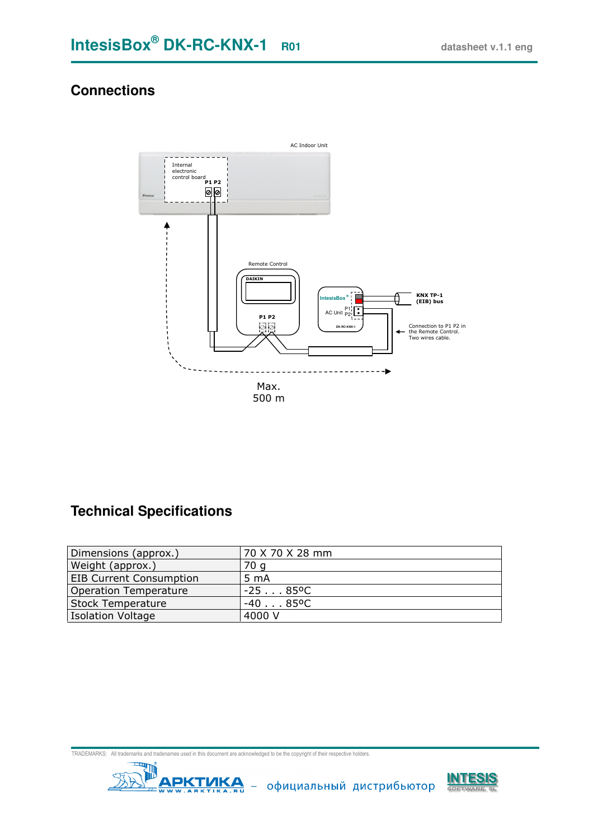### **Connections**



## **Technical Specifications**

| Dimensions (approx.)           | 70 X 70 X 28 mm   |
|--------------------------------|-------------------|
| Weight (approx.)               | 70 a              |
| <b>EIB Current Consumption</b> | 5 <sub>mA</sub>   |
| <b>Operation Temperature</b>   | $-2585^{\circ}$ C |
| <b>Stock Temperature</b>       | -40 85ºC          |
| Isolation Voltage              | 4000 V            |



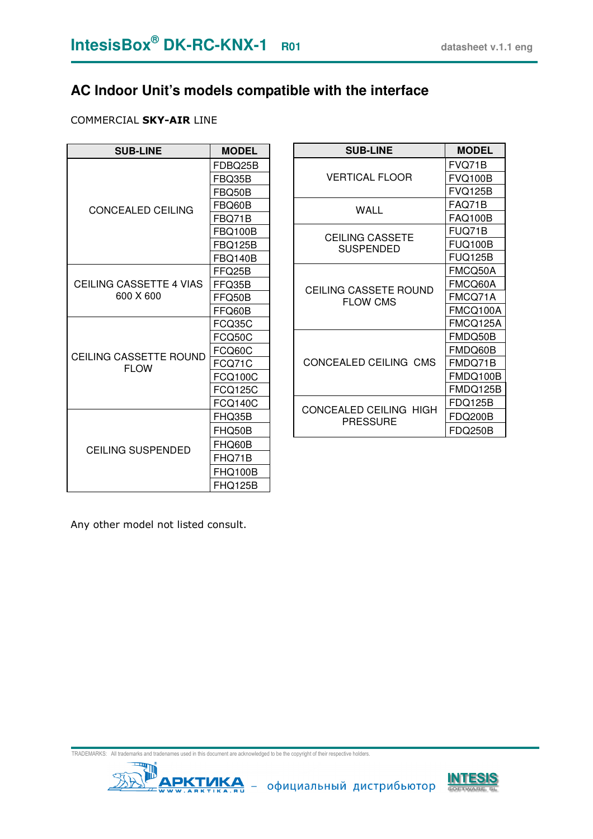# **AC Indoor Unit's models compatible with the interface**

#### COMMERCIAL SKY-AIR LINE

| <b>SUB-LINE</b>                      | <b>MODEL</b>   |
|--------------------------------------|----------------|
|                                      | FDBQ25B        |
|                                      | FBQ35B         |
| <b>CONCEALED CEILING</b>             | FBQ50B         |
|                                      | FBQ60B         |
|                                      | FBQ71B         |
|                                      | FBQ100B        |
|                                      | FBQ125B        |
|                                      | <b>FBQ140B</b> |
|                                      | FFQ25B         |
| CEILING CASSETTE 4 VIAS<br>600 X 600 | FFQ35B         |
|                                      | FFQ50B         |
|                                      | FFQ60B         |
|                                      | FCQ35C         |
|                                      | FCQ50C         |
| CEILING CASSETTE ROUND               | FCQ60C         |
| <b>FLOW</b>                          | FCQ71C         |
|                                      | <b>FCQ100C</b> |
|                                      | FCQ125C        |
|                                      | <b>FCQ140C</b> |
|                                      | FHQ35B         |
|                                      | FHQ50B         |
|                                      | FHQ60B         |
| <b>CEILING SUSPENDED</b>             | FHQ71B         |
|                                      | FHQ100B        |
|                                      | FHQ125B        |

| <b>SUB-LINE</b>                            | <b>MODEL</b>   |
|--------------------------------------------|----------------|
|                                            | FVQ71B         |
| VERTICAL FLOOR                             | <b>FVQ100B</b> |
|                                            | <b>FVQ125B</b> |
| WALL                                       | FAQ71B         |
|                                            | <b>FAQ100B</b> |
|                                            | FUQ71B         |
| <b>CEILING CASSETE</b><br><b>SUSPENDED</b> | FUQ100B        |
|                                            | <b>FUQ125B</b> |
|                                            | FMCQ50A        |
| CEILING CASSETE ROUND                      | FMCQ60A        |
| <b>FLOW CMS</b>                            | FMCQ71A        |
|                                            | FMCQ100A       |
|                                            | FMCQ125A       |
|                                            | FMDQ50B        |
|                                            | FMDQ60B        |
| CONCEALED CEILING CMS                      | FMDQ71B        |
|                                            | FMDQ100B       |
|                                            | FMDQ125B       |
|                                            | FDQ125B        |
| CONCEALED CEILING HIGH<br>PRESSURE         | FDQ200B        |
|                                            | FDQ250B        |

Any other model not listed consult.